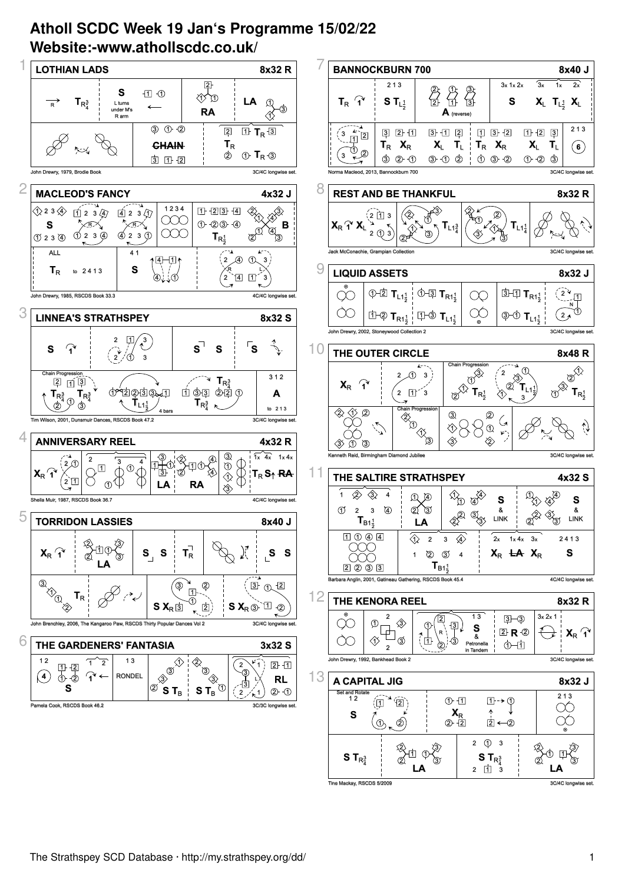## **Atholl SCDC Week 19 Jan's Programme 15/02/22 Website:-www.athollscdc.co.uk/**



2 11 3

The Mackay RSCDS 5/2009 **3C/4C longwise set. All the Mackay Street Sections** set the Machine set . 3C/4C long

 **LA**

 **LA**